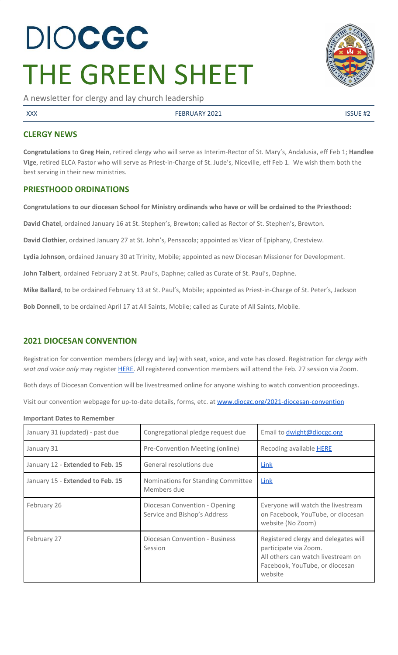# DIOCGC THE GREEN SHEET

A newsletter for clergy and lay church leadership

XXX FEBRUARY 2021 ISSUE #2

#### **CLERGY NEWS**

**Congratulations** to **Greg Hein**, retired clergy who will serve as Interim-Rector of St. Mary's, Andalusia, eff Feb 1; **Handlee Vige**, retired ELCA Pastor who will serve as Priest-in-Charge of St. Jude's, Niceville, eff Feb 1. We wish them both the best serving in their new ministries.

#### **PRIESTHOOD ORDINATIONS**

Congratulations to our diocesan School for Ministry ordinands who have or will be ordained to the Priesthood:

**David Chatel**, ordained January 16 at St. Stephen's, Brewton; called as Rector of St. Stephen's, Brewton.

**David Clothier**, ordained January 27 at St. John's, Pensacola; appointed as Vicar of Epiphany, Crestview.

**Lydia Johnson**, ordained January 30 at Trinity, Mobile; appointed as new Diocesan Missioner for Development.

**John Talbert**, ordained February 2 at St. Paul's, Daphne; called as Curate of St. Paul's, Daphne.

**Mike Ballard**, to be ordained February 13 at St. Paul's, Mobile; appointed as Priest-in-Charge of St. Peter's, Jackson

**Bob Donnell**, to be ordained April 17 at All Saints, Mobile; called as Curate of All Saints, Mobile.

#### **2021 DIOCESAN CONVENTION**

Registration for convention members (clergy and lay) with seat, voice, and vote has closed. Registration for *clergy with seat and voice only* may register [HERE.](https://www.eventbrite.com/e/2021-diocesan-convention-seat-and-voice-tickets-135999005687) All registered convention members will attend the Feb. 27 session via Zoom.

Both days of Diocesan Convention will be livestreamed online for anyone wishing to watch convention proceedings.

Visit our convention webpage for up-to-date details, forms, etc. at [www.diocgc.org/2021-diocesan-convention](http://www.diocgc.org/2021-diocesan-convention)

**Important Dates to Remember**

| January 31 (updated) - past due  | Congregational pledge request due                             | Email to <i>dwight@diocgc.org</i>                                                                                                                |
|----------------------------------|---------------------------------------------------------------|--------------------------------------------------------------------------------------------------------------------------------------------------|
| January 31                       | Pre-Convention Meeting (online)                               | Recoding available <b>HERE</b>                                                                                                                   |
| January 12 - Extended to Feb. 15 | General resolutions due                                       | Link                                                                                                                                             |
| January 15 - Extended to Feb. 15 | Nominations for Standing Committee<br>Members due             | Link                                                                                                                                             |
| February 26                      | Diocesan Convention - Opening<br>Service and Bishop's Address | Everyone will watch the livestream<br>on Facebook, YouTube, or diocesan<br>website (No Zoom)                                                     |
| February 27                      | Diocesan Convention - Business<br>Session                     | Registered clergy and delegates will<br>participate via Zoom.<br>All others can watch livestream on<br>Facebook, YouTube, or diocesan<br>website |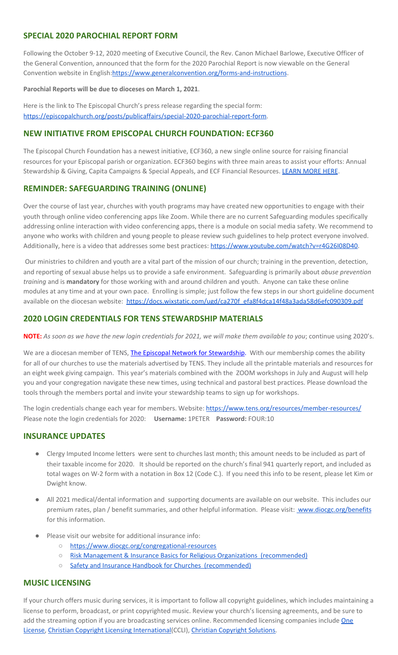#### **SPECIAL 2020 PAROCHIAL REPORT FORM**

Following the October 9-12, 2020 meeting of Executive Council, the Rev. Canon Michael Barlowe, Executive Officer of the General Convention, announced that the form for the 2020 Parochial Report is now viewable on the General Convention website in English[:https://www.generalconvention.org/forms-and-instructions](https://www.generalconvention.org/forms-and-instructions).

#### **Parochial Reports will be due to dioceses on March 1, 2021**.

Here is the link to The Episcopal Church's press release regarding the special form: <https://episcopalchurch.org/posts/publicaffairs/special-2020-parochial-report-form>.

#### **NEW INITIATIVE FROM EPISCOPAL CHURCH FOUNDATION: ECF360**

The Episcopal Church Foundation has a newest initiative, ECF360, a new single online source for raising financial resources for your Episcopal parish or organization. ECF360 begins with three main areas to assist your efforts: Annual Stewardship & Giving, Capita Campaigns & Special Appeals, and ECF Financial Resources. [LEARN](https://www.ecfvp.org/ecf360) MORE HERE.

#### **REMINDER: SAFEGUARDING TRAINING (ONLINE)**

Over the course of last year, churches with youth programs may have created new opportunities to engage with their youth through online video conferencing apps like Zoom. While there are no current Safeguarding modules specifically addressing online interaction with video conferencing apps, there is a module on social media safety. We recommend to anyone who works with children and young people to please review such guidelines to help protect everyone involved. Additionally, here is a video that addresses some best practices: <https://www.youtube.com/watch?v=r4G26I08D40>.

Our ministries to children and youth are a vital part of the mission of our church; training in the prevention, detection, and reporting of sexual abuse helps us to provide a safe environment. Safeguarding is primarily about *abuse prevention training* and is **mandatory** for those working with and around children and youth. Anyone can take these online modules at any time and at your own pace. Enrolling is simple; just follow the few steps in our short guideline document available on the diocesan website: [https://docs.wixstatic.com/ugd/ca270f\\_efa8f4dca14f48a3ada58d6efc090309.pdf](https://docs.wixstatic.com/ugd/ca270f_efa8f4dca14f48a3ada58d6efc090309.pdf)

#### **2020 LOGIN CREDENTIALS FOR TENS STEWARDSHIP MATERIALS**

**NOTE:** As soon as we have the new login credentials for 2021, we will make them available to you; continue using 2020's.

We are a diocesan member of [T](http://r20.rs6.net/tn.jsp?f=0012pqt_t4bfTKnRF8Xmufb-M4Ry8JkNpVzuf-DfMr466n2fJlrEabEgWXavWDn2Hx3i5ph5cMsQu0KkvBM2IIao7IcazXgBLtGdZrXLuo4poO7i2eq_EiuExGDSC-wd1a3AjKcDRDPj18=&c=9_JBIUfw9Y9WIzA02dVBmW_Dc5eF3SbOEA5-vLB-MbLj0nQWfaMvNg==&ch=bNQQUmRhILUjCbu1RkHCQ0rqqsD1-RBYprcIQ3NuhLlaKPcsXS1TyQ==)ENS, The Episcopal Network for [Stewardship](http://r20.rs6.net/tn.jsp?f=0012pqt_t4bfTKnRF8Xmufb-M4Ry8JkNpVzuf-DfMr466n2fJlrEabEgWXavWDn2Hx3i5ph5cMsQu0KkvBM2IIao7IcazXgBLtGdZrXLuo4poO7i2eq_EiuExGDSC-wd1a3AjKcDRDPj18=&c=9_JBIUfw9Y9WIzA02dVBmW_Dc5eF3SbOEA5-vLB-MbLj0nQWfaMvNg==&ch=bNQQUmRhILUjCbu1RkHCQ0rqqsD1-RBYprcIQ3NuhLlaKPcsXS1TyQ==). With our membership comes the ability for all of our churches to use the materials advertised by TENS. They include all the printable materials and resources for an eight week giving campaign. This year's materials combined with the ZOOM workshops in July and August will help you and your congregation navigate these new times, using technical and pastoral best practices. Please download the tools through the members portal and invite your stewardship teams to sign up for workshops.

The login credentials change each year for members. Website: <https://www.tens.org/resources/member-resources/> Please note the login credentials for 2020: **Username:** 1PETER **Password:** FOUR:10

#### **INSURANCE UPDATES**

- Clergy Imputed Income letters were sent to churches last month; this amount needs to be included as part of their taxable income for 2020. It should be reported on the church's final 941 quarterly report, and included as total wages on W-2 form with a notation in Box 12 (Code C.). If you need this info to be resent, please let Kim or Dwight know.
- All 2021 medical/dental information and supporting documents are available on our website. This includes our premium rates, plan / benefit summaries, and other helpful information. Please visit: [www.diocgc.org/benefits](http://www.diocgc.org/benefits) for this information.
- Please visit our website for additional insurance info:
	- <https://www.diocgc.org/congregational-resources>
	- Risk Management & Insurance Basics for Religious Organizations [\(recommended\)](https://2f23db9c-81c0-437f-88c1-0d3b99fdb03d.filesusr.com/ugd/ca270f_0fc945a39bad470191c4075c97602c08.pdf)
	- Safety and Insurance Handbook for Churches [\(recommended\)](https://2f23db9c-81c0-437f-88c1-0d3b99fdb03d.filesusr.com/ugd/4525a9_6b89020a60b040f49e2f7feb44b56873.pdf)

#### **MUSIC LICENSING**

If your church offers music during services, it is important to follow all copyright guidelines, which includes maintaining a license to perform, broadcast, or print copyrighted music. Review your church's licensing agreements, and be sure to add the streaming option if you are broadcasting services online. Recommended licensing companies include [One](https://onelicense.net/) [License,](https://onelicense.net/) Christian Copyright Licensing [International](https://us.ccli.com/)(CCLI), Christian [Copyright](https://christiancopyrightsolutions.com/) Solutions.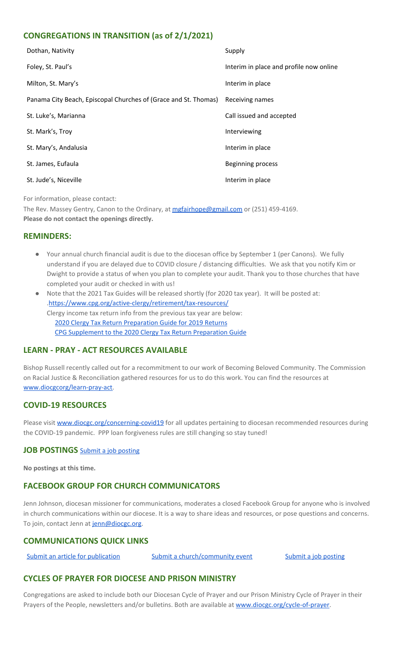### **CONGREGATIONS IN TRANSITION (as of 2/1/2021)**

| Dothan, Nativity                                                | Supply                                  |
|-----------------------------------------------------------------|-----------------------------------------|
| Foley, St. Paul's                                               | Interim in place and profile now online |
| Milton, St. Mary's                                              | Interim in place                        |
| Panama City Beach, Episcopal Churches of (Grace and St. Thomas) | Receiving names                         |
| St. Luke's, Marianna                                            | Call issued and accepted                |
| St. Mark's, Troy                                                | Interviewing                            |
| St. Mary's, Andalusia                                           | Interim in place                        |
| St. James, Eufaula                                              | <b>Beginning process</b>                |
| St. Jude's, Niceville                                           | Interim in place                        |

For information, please contact:

The Rev. Massey Gentry, Canon to the Ordinary, at [mgfairhope@gmail.com](mailto:mgfairhope@gmail.com) or (251) 459-4169. **Please do not contact the openings directly.**

#### **REMINDERS:**

- Your annual church financial audit is due to the diocesan office by September 1 (per Canons). We fully understand if you are delayed due to COVID closure / distancing difficulties. We ask that you notify Kim or Dwight to provide a status of when you plan to complete your audit. Thank you to those churches that have completed your audit or checked in with us!
- Note that the 2021 Tax Guides will be released shortly (for 2020 tax year). It will be posted at: .<https://www.cpg.org/active-clergy/retirement/tax-resources/> Clergy income tax return info from the previous tax year are below: 2020 Clergy Tax Return [Preparation](https://www.cpg.org/linkservid/D998735C-CE21-6189-EB815B133ECD868A/showMeta/0/?label=2020%20Clergy%20Tax%20Return%20Preparation%20Guide%20for%202019%20Tax%20Returns) Guide for 2019 Returns CPG [Supplement](https://www.cpg.org/linkservid/DA0301BC-D8CF-06D3-C4C6BAB106394432/showMeta/0/?label=Supplement%20to%20the%202020%20Clergy%20Tax%20Return%20Preparation%20Guide%20for%202019%20Returns) to the 2020 Clergy Tax Return Preparation Guide

# **LEARN - PRAY - ACT RESOURCES AVAILABLE**

Bishop Russell recently called out for a recommitment to our work of Becoming Beloved Community. The Commission on Racial Justice & Reconciliation gathered resources for us to do this work. You can find the resources at [www.diocgcorg/learn-pray-act.](http://www.diocgcorg/learn-pray-act)

# **COVID-19 RESOURCES**

Please visit [www.diocgc.org/concerning-covid19](http://www.diocgc.org/concerning-covid19) for all updates pertaining to diocesan recommended resources during the COVID-19 pandemic. PPP loan forgiveness rules are still changing so stay tuned!

#### **JOB POSTINGS** Submit a job [posting](https://www.emailmeform.com/builder/form/0cZqC653GdH24p01aWQDfUh)

**No postings at this time.**

# **FACEBOOK GROUP FOR CHURCH COMMUNICATORS**

Jenn Johnson, diocesan missioner for communications, moderates a closed Facebook Group for anyone who is involved in church communications within our diocese. It is a way to share ideas and resources, or pose questions and concerns. To join, contact Jenn at [jenn@diocgc.org.](mailto:jenn@diocgc.org)

#### **COMMUNICATIONS QUICK LINKS**

Submit an article for [publication](http://www.emailmeform.com/builder/form/XqOP984Ae60c8m6ynr) Submit a [church/community](http://www.emailmeform.com/builder/form/eOM4Bb6VTb78y20Wrapf8) event Submit a job [posting](https://www.emailmeform.com/builder/form/0cZqC653GdH24p01aWQDfUh)

#### **CYCLES OF PRAYER FOR DIOCESE AND PRISON MINISTRY**

Congregations are asked to include both our Diocesan Cycle of Prayer and our Prison Ministry Cycle of Prayer in their Prayers of the People, newsletters and/or bulletins. Both are available at [www.diocgc.org/cycle-of-prayer.](http://www.diocgc.org/cycle-of-prayer)